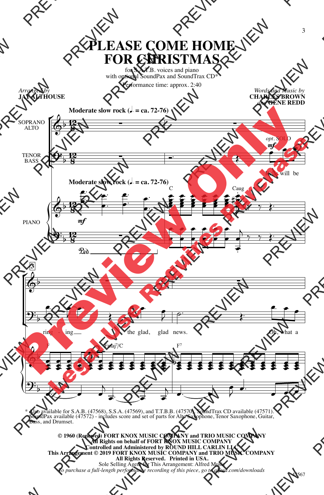## **PLEASE COME HOME FOR CHRISTMAS**

for S.A.T.B. voices and piano with optional SoundPax and SoundTrax CD\* Performance time: approx. 2:40

*Arranged by* **JAY ALTHOUSE**



\* Also available for S.A.B. (47568), S.S.A. (47569), and T.T.B.B. (47570). SoundTrax CD available (47571). SoundPax available (47572) - includes score and set of parts for Alto Saxophone, Tenor Saxophone, Guitar, Bass, and Drumset.

**© 1960 (Renewed) FORT KNOX MUSIC COMPANY and TRIO MUSIC COMPANY All Rights on behalf of FORT KNOX MUSIC COMPANY Controlled and Administered by ROUND HILL CARLIN LLC This Arrangement © 2019 FORT KNOX MUSIC COMPANY and TRIO MUSIC COMPANY All Rights Reserved. Printed in USA.** Sole Selling Agent for This Arrangement: Alfred Music *To purchase a full-length performance recording of this piece, go to alfred.com/downloads*

*Words and Music by* **CHARLES BROWN**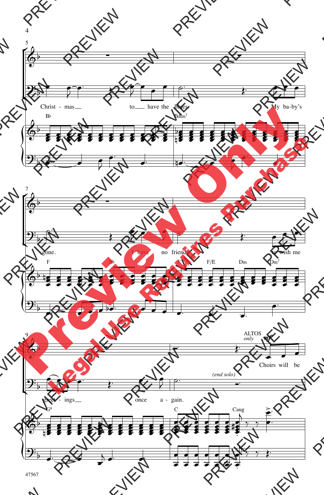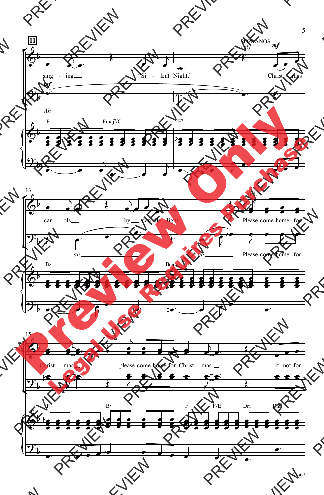

47567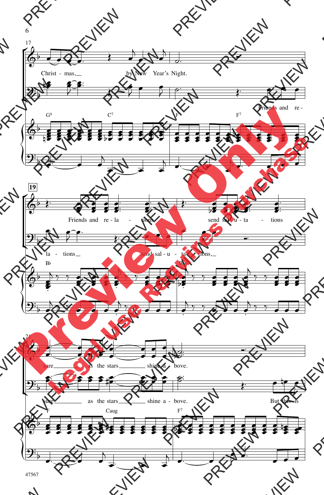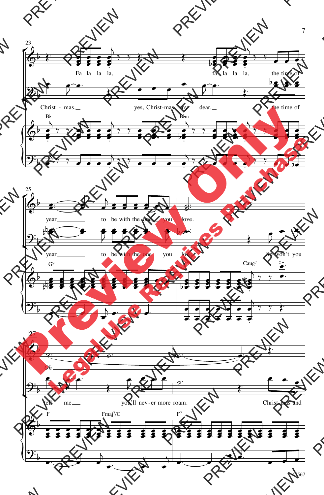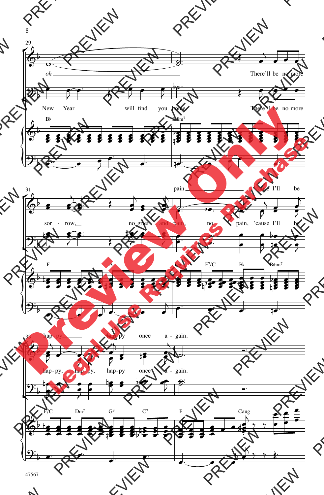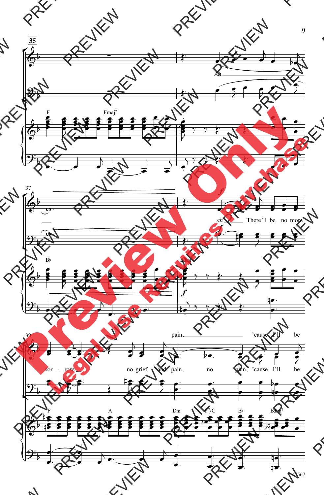

9

47567